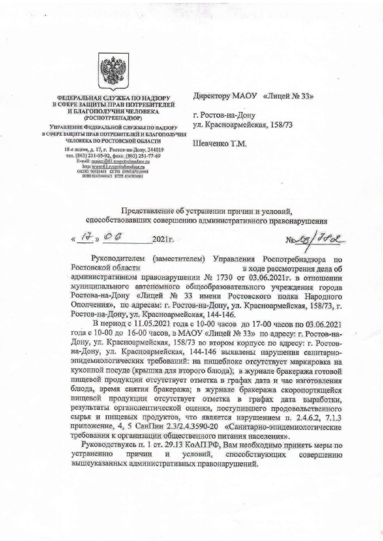

## ФЕДЕРАЛЬНАЯ СЛУЖБА ПО НАДЗОРУ В СФЕРЕ ЗАЩИТЫ ПРАВ ПОТРЕБИТЕЛЕЙ И БЛАГОПОЛУЧИЯ ЧЕЛОВЕКА (РОСПОТРЕБНАДЗОР)

Управление Федеральной службы по надзору В СФЕРЕ ЗАЩИТЫ ПРАВ ПОТРЕБИТЕЛЕЙ И БЛАГОПОЛУЧИЯ **ЧЕЛОВЕКА ПО РОСТОВСКОЙ ОБЛАСТИ** 

> 18-я линия, д. 17, г. Ростов-на-Дону, 344019 Tel.  $(863)$  251-05-92,  $\phi$ asc.  $(863)$  251-77-69<br>E-mail: master@61 rospottebnadzor ru<br>http: www.61 respottebnadzor ru<br>oktito 76921493 OFPH 1056167010008<br>HHH 6167080043 KIIII 616701001

Директору МАОУ «Лицей № 33»

г. Ростов-на-Дону ул. Красноармейская, 158/73

Шевченко Т.М.

Представление об устранении причин и условий, способствовавших совершению административного правонарушения

 $U$   $\theta$   $\theta$  $2021r.$ 

 $N\simeq8/76$ 

Руководителем (заместителем) Управления Роспотребнадзора по Ростовской области в ходе рассмотрения дела об административном правонарушении № 1730 от 03.06.2021г. в отношении муниципального автономного общеобразовательного учреждения города Ростова-на-Дону «Лицей № 33 имени Ростовского полка Народного Ополчения», по адресам: г. Ростов-на-Дону, ул. Красноармейская, 158/73, г. Ростов-на-Дону, ул. Красноармейская, 144-146.

В период с 11.05.2021 года с 10-00 часов до 17-00 часов по 03.06.2021 года с 10-00 до 16-00 часов, в МАОУ «Лицей № 33» по адресу: г. Ростов-на-Дону, ул. Красноармейская, 158/73 во втором корпусе по адресу: г. Ростовна-Дону, ул. Красноармейская, 144-146 выявлены нарушения санитарноэпидемиологических требований: на пищеблоке отсутствует маркировка на кухонной посуде (крышка для второго блюда); в журнале бракеража готовой пищевой продукции отсутствует отметка в графах дата и час изготовления блюда, время снятия бракеража; в журнале бракеража скоропортящейся пищевой продукции отсутствует отметка в графах дата выработки, результаты органолептической оценки, поступившего продовольственного сырья и пищевых продуктов, что является нарушением п. 2.4.6.2, 7.1.3 приложение, 4, 5 СанПин 2.3/2.4.3590-20 «Санитарно-эпидемиологические требования к организации общественного питания населения».

Руководствуясь п. 1 ст. 29.13 КоАП РФ, Вам необходимо принять меры по устранению причин условий, способствующих  $\,$   $\,$   $\,$   $\,$ совершению вышеуказанных административных правонарушений.